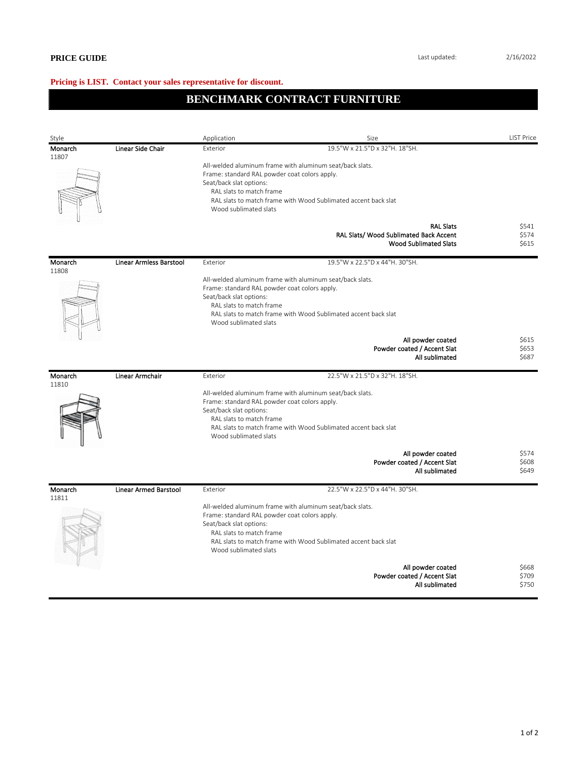### **Pricing is LIST. Contact your sales representative for discount.**

# **BENCHMARK CONTRACT FURNITURE**

| Style            |                                | Application                                                                                                                                                                                                                                                 | Size                                                                                       | <b>LIST Price</b>       |
|------------------|--------------------------------|-------------------------------------------------------------------------------------------------------------------------------------------------------------------------------------------------------------------------------------------------------------|--------------------------------------------------------------------------------------------|-------------------------|
| Monarch<br>11807 | Linear Side Chair              | Exterior                                                                                                                                                                                                                                                    | 19.5"W x 21.5"D x 32"H. 18"SH.                                                             |                         |
|                  |                                | All-welded aluminum frame with aluminum seat/back slats.<br>Frame: standard RAL powder coat colors apply.<br>Seat/back slat options:<br>RAL slats to match frame<br>RAL slats to match frame with Wood Sublimated accent back slat<br>Wood sublimated slats |                                                                                            |                         |
|                  |                                |                                                                                                                                                                                                                                                             | <b>RAL Slats</b><br>RAL Slats/ Wood Sublimated Back Accent<br><b>Wood Sublimated Slats</b> | \$541<br>\$574<br>\$615 |
| Monarch<br>11808 | <b>Linear Armless Barstool</b> | Exterior                                                                                                                                                                                                                                                    | 19.5"W x 22.5"D x 44"H. 30"SH.                                                             |                         |
|                  |                                | All-welded aluminum frame with aluminum seat/back slats.<br>Frame: standard RAL powder coat colors apply.<br>Seat/back slat options:<br>RAL slats to match frame<br>RAL slats to match frame with Wood Sublimated accent back slat<br>Wood sublimated slats |                                                                                            |                         |
|                  |                                |                                                                                                                                                                                                                                                             | All powder coated<br>Powder coated / Accent Slat<br>All sublimated                         | \$615<br>\$653<br>\$687 |
| Monarch          | Linear Armchair                | Exterior                                                                                                                                                                                                                                                    | 22.5"W x 21.5"D x 32"H. 18"SH.                                                             |                         |
| 11810            |                                | All-welded aluminum frame with aluminum seat/back slats.<br>Frame: standard RAL powder coat colors apply.<br>Seat/back slat options:<br>RAL slats to match frame<br>RAL slats to match frame with Wood Sublimated accent back slat<br>Wood sublimated slats |                                                                                            |                         |
|                  |                                |                                                                                                                                                                                                                                                             | All powder coated<br>Powder coated / Accent Slat<br>All sublimated                         | \$574<br>\$608<br>\$649 |
| Monarch<br>11811 | <b>Linear Armed Barstool</b>   | Exterior                                                                                                                                                                                                                                                    | 22.5"W x 22.5"D x 44"H. 30"SH.                                                             |                         |
|                  |                                | All-welded aluminum frame with aluminum seat/back slats.<br>Frame: standard RAL powder coat colors apply.<br>Seat/back slat options:<br>RAL slats to match frame<br>RAL slats to match frame with Wood Sublimated accent back slat<br>Wood sublimated slats |                                                                                            |                         |
|                  |                                |                                                                                                                                                                                                                                                             | All powder coated<br>Powder coated / Accent Slat<br>All sublimated                         | \$668<br>\$709<br>\$750 |